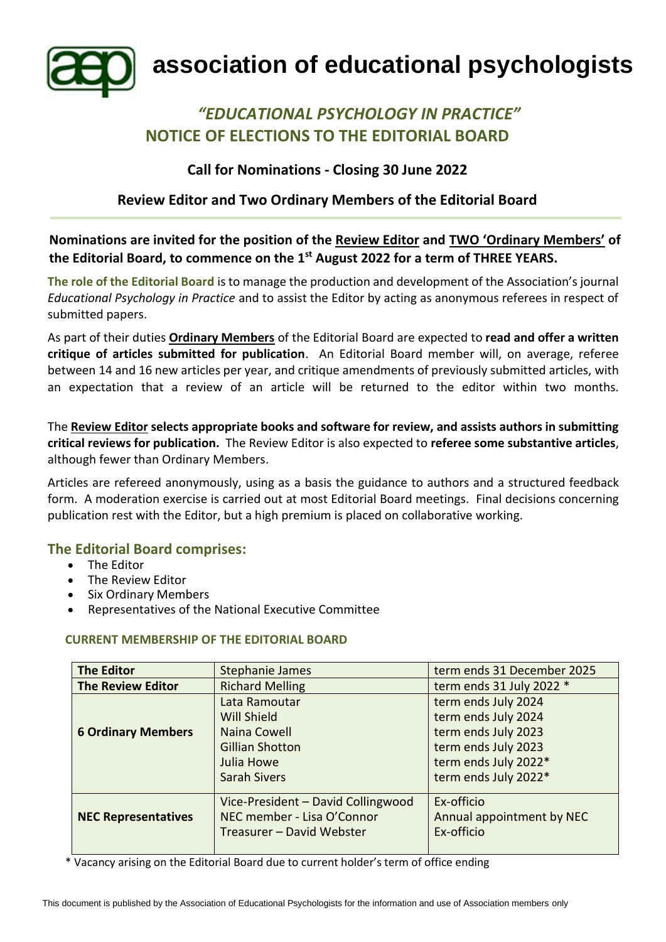

# **association of educational psychologists**

## *"EDUCATIONAL PSYCHOLOGY IN PRACTICE"* **NOTICE OF ELECTIONS TO THE EDITORIAL BOARD**

## **Call for Nominations - Closing 30 June 2022**

## **Review Editor and Two Ordinary Members of the Editorial Board**

**Nominations are invited for the position of the Review Editor and TWO 'Ordinary Members' of the Editorial Board, to commence on the 1st August 2022 for a term of THREE YEARS.**

**The role of the Editorial Board** is to manage the production and development of the Association's journal *Educational Psychology in Practice* and to assist the Editor by acting as anonymous referees in respect of submitted papers.

As part of their duties **Ordinary Members** of the Editorial Board are expected to **read and offer a written critique of articles submitted for publication**. An Editorial Board member will, on average, referee between 14 and 16 new articles per year, and critique amendments of previously submitted articles, with an expectation that a review of an article will be returned to the editor within two months.

The **Review Editor selects appropriate books and software for review, and assists authors in submitting critical reviews for publication.** The Review Editor is also expected to **referee some substantive articles**, although fewer than Ordinary Members.

Articles are refereed anonymously, using as a basis the guidance to authors and a structured feedback form. A moderation exercise is carried out at most Editorial Board meetings. Final decisions concerning publication rest with the Editor, but a high premium is placed on collaborative working.

#### **The Editorial Board comprises:**

- The Editor
- The Review Editor
- Six Ordinary Members
- Representatives of the National Executive Committee

#### **CURRENT MEMBERSHIP OF THE EDITORIAL BOARD**

| <b>The Editor</b>          | <b>Stephanie James</b><br>term ends 31 December 2025 |                                            |
|----------------------------|------------------------------------------------------|--------------------------------------------|
| <b>The Review Editor</b>   | <b>Richard Melling</b>                               | term ends 31 July 2022 *                   |
|                            | Lata Ramoutar<br>Will Shield                         | term ends July 2024                        |
| <b>6 Ordinary Members</b>  | Naina Cowell                                         | term ends July 2024<br>term ends July 2023 |
|                            | <b>Gillian Shotton</b>                               | term ends July 2023                        |
|                            | Julia Howe                                           | term ends July 2022*                       |
|                            | <b>Sarah Sivers</b>                                  | term ends July 2022*                       |
|                            | Vice-President - David Collingwood                   | Ex-officio                                 |
| <b>NEC Representatives</b> | NEC member - Lisa O'Connor                           | Annual appointment by NEC                  |
|                            | Treasurer - David Webster                            | Ex-officio                                 |

\* Vacancy arising on the Editorial Board due to current holder's term of office ending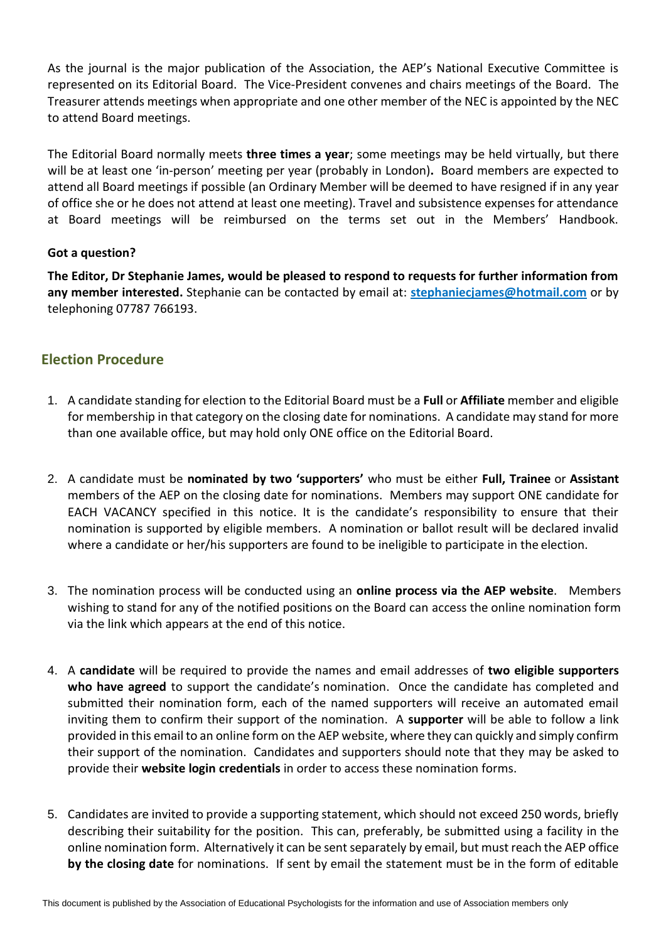As the journal is the major publication of the Association, the AEP's National Executive Committee is represented on its Editorial Board. The Vice-President convenes and chairs meetings of the Board. The Treasurer attends meetings when appropriate and one other member of the NEC is appointed by the NEC to attend Board meetings.

The Editorial Board normally meets **three times a year**; some meetings may be held virtually, but there will be at least one 'in-person' meeting per year (probably in London)**.** Board members are expected to attend all Board meetings if possible (an Ordinary Member will be deemed to have resigned if in any year of office she or he does not attend at least one meeting). Travel and subsistence expenses for attendance at Board meetings will be reimbursed on the terms set out in the Members' Handbook.

#### **Got a question?**

**The Editor, Dr Stephanie James, would be pleased to respond to requests for further information from any member interested.** Stephanie can be contacted by email at: **[stephaniecjames@hotmail.com](mailto:stephaniecjames@hotmail.com)** or by telephoning 07787 766193.

## **Election Procedure**

- 1. A candidate standing for election to the Editorial Board must be a **Full** or **Affiliate** member and eligible for membership in that category on the closing date for nominations. A candidate may stand for more than one available office, but may hold only ONE office on the Editorial Board.
- 2. A candidate must be **nominated by two 'supporters'** who must be either **Full, Trainee** or **Assistant**  members of the AEP on the closing date for nominations. Members may support ONE candidate for EACH VACANCY specified in this notice. It is the candidate's responsibility to ensure that their nomination is supported by eligible members. A nomination or ballot result will be declared invalid where a candidate or her/his supporters are found to be ineligible to participate in the election.
- 3. The nomination process will be conducted using an **online process via the AEP website**. Members wishing to stand for any of the notified positions on the Board can access the online nomination form via the link which appears at the end of this notice.
- 4. A **candidate** will be required to provide the names and email addresses of **two eligible supporters who have agreed** to support the candidate's nomination. Once the candidate has completed and submitted their nomination form, each of the named supporters will receive an automated email inviting them to confirm their support of the nomination. A **supporter** will be able to follow a link provided in this email to an online form on the AEP website, where they can quickly and simply confirm their support of the nomination. Candidates and supporters should note that they may be asked to provide their **website login credentials** in order to access these nomination forms.
- 5. Candidates are invited to provide a supporting statement, which should not exceed 250 words, briefly describing their suitability for the position. This can, preferably, be submitted using a facility in the online nomination form. Alternatively it can be sent separately by email, but must reach the AEP office **by the closing date** for nominations. If sent by email the statement must be in the form of editable